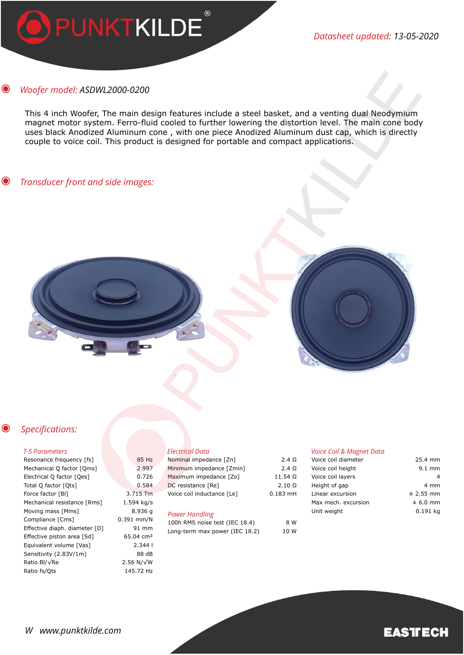

*Datasheet updated: 13-05-2020*

#### $\odot$ *Woofer model: ASDWL2000-0200*

This 4 inch Woofer, The main design features include a steel basket, and a venting dual Neodymium magnet motor system. Ferro-fluid cooled to further lowering the distortion level. The main cone body uses black Anodized Aluminum cone , with one piece Anodized Aluminum dust cap, which is directly couple to voice coil. This product is designed for portable and compact applications.

#### $\odot$ *Transducer front and side images:*



#### $\bullet$  *Specifications:*

### *T-S Parameters*

| Resonance frequency [fs]      | 85 Hz                 |
|-------------------------------|-----------------------|
| Mechanical Q factor [Qms]     | 2.997                 |
| Electrical Q factor [Qes]     | 0.726                 |
| Total Q factor [Qts]          | 0.584                 |
| Force factor [BI]             | 3.715 Tm              |
| Mechanical resistance [Rms]   | 1.594 kg/s            |
| Moving mass [Mms]             | 8.936 g               |
| Compliance [Cms]              | $0.391$ mm/N          |
| Effective diaph. diameter [D] | 91 mm                 |
| Effective piston area [Sd]    | 65.04 cm <sup>2</sup> |
| Equivalent volume [Vas]       | 2.3441                |
| Sensitivity (2.83V/1m)        | 88 dB                 |
| Ratio Bl/√Re                  | 2.56 N/ $\sqrt{W}$    |
| Ratio fs/Qts                  | 145.72 Hz             |

## *Electrical Data*

| Nominal impedance [Zn]     | $2.4 \Omega$   | Voice  |
|----------------------------|----------------|--------|
| Minimum impedance [Zmin]   | 2.4 $\Omega$   | Voice  |
| Maximum impedance [Zo]     | $11.54 \Omega$ | Voice  |
| DC resistance [Re]         | $2.10 \Omega$  | Heigh  |
| Voice coil inductance [Le] | $0.183$ mH     | Linear |
|                            |                | Max n  |
|                            |                |        |

# *Power Handling*

| 100h RMS noise test (IEC 18.4) | 8 W  |
|--------------------------------|------|
| Long-term max power (IEC 18.2) | 10 W |

### *Voice Coil & Magnet Data*

| Voice coil diameter | 25.4 mm          |
|---------------------|------------------|
| Voice coil height   | $9.1 \text{ mm}$ |
| Voice coil layers   |                  |
| Height of gap       | 4 mm             |
| Linear excursion    | $± 2.55$ mm      |
| Max mech. excursion | $± 6.0$ mm       |
| Unit weight         | 0.191 ka         |
|                     |                  |

# **EASTECH**